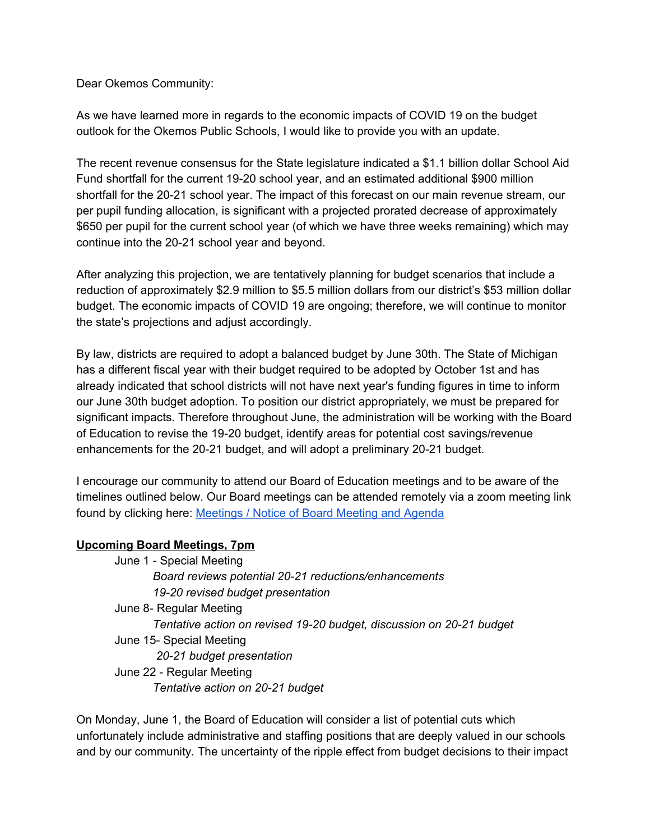Dear Okemos Community:

 As we have learned more in regards to the economic impacts of COVID 19 on the budget outlook for the Okemos Public Schools, I would like to provide you with an update.

 The recent revenue consensus for the State legislature indicated a \$1.1 billion dollar School Aid Fund shortfall for the current 19-20 school year, and an estimated additional \$900 million shortfall for the 20-21 school year. The impact of this forecast on our main revenue stream, our per pupil funding allocation, is significant with a projected prorated decrease of approximately \$650 per pupil for the current school year (of which we have three weeks remaining) which may continue into the 20-21 school year and beyond.

 After analyzing this projection, we are tentatively planning for budget scenarios that include a reduction of approximately \$2.9 million to \$5.5 million dollars from our district's \$53 million dollar budget. The economic impacts of COVID 19 are ongoing; therefore, we will continue to monitor the state's projections and adjust accordingly.

 By law, districts are required to adopt a balanced budget by June 30th. The State of Michigan has a different fiscal year with their budget required to be adopted by October 1st and has already indicated that school districts will not have next year's funding figures in time to inform our June 30th budget adoption. To position our district appropriately, we must be prepared for significant impacts. Therefore throughout June, the administration will be working with the Board of Education to revise the 19-20 budget, identify areas for potential cost savings/revenue enhancements for the 20-21 budget, and will adopt a preliminary 20-21 budget.

 I encourage our community to attend our Board of Education meetings and to be aware of the timelines outlined below. Our Board meetings can be attended remotely via a zoom meeting link found by clicking here: **[Meetings](https://www.okemosk12.net/Page/518) / Notice of Board Meeting and Agenda** 

## **Upcoming Board Meetings, 7pm**

 June 1 - Special Meeting  *Board reviews potential 20-21 reductions/enhancements 19-20 revised budget presentation* June 8- Regular Meeting  *Tentative action on revised 19-20 budget, discussion on 20-21 budget* June 15- Special Meeting  *20-21 budget presentation* June 22 - Regular Meeting  *Tentative action on 20-21 budget*

 On Monday, June 1, the Board of Education will consider a list of potential cuts which unfortunately include administrative and staffing positions that are deeply valued in our schools and by our community. The uncertainty of the ripple effect from budget decisions to their impact